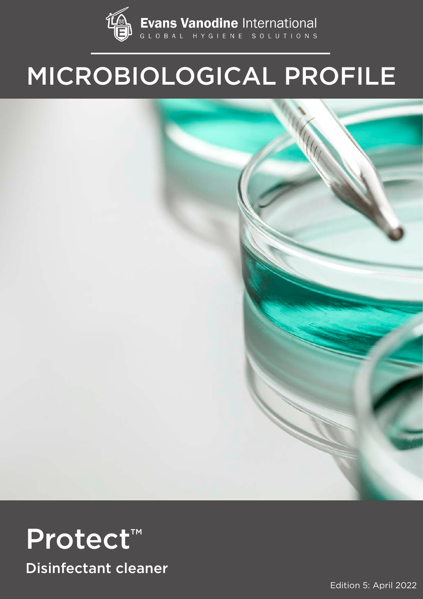

# MICROBIOLOGICAL PROFILE



Edition 5: April 2022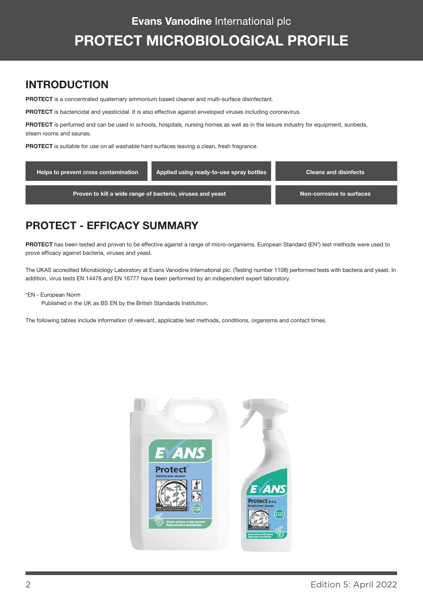#### INTRODUCTION

PROTECT is a concentrated quaternary ammonium based cleaner and multi-surface disinfectant.

PROTECT is bactericidal and yeasticidal. It is also effective against enveloped viruses including coronavirus.

PROTECT is perfumed and can be used in schools, hospitals, nursing homes as well as in the leisure industry for equipment, sunbeds, steam rooms and saunas.

PROTECT is suitable for use on all washable hard surfaces leaving a clean, fresh fragrance.

| Helps to prevent cross contamination                       | Applied using ready-to-use spray bottles | <b>Cleans and disinfects</b> |
|------------------------------------------------------------|------------------------------------------|------------------------------|
| Proven to kill a wide range of bacteria, viruses and yeast | Non-corrosive to surfaces                |                              |

#### PROTECT - EFFICACY SUMMARY

PROTECT has been tested and proven to be effective against a range of micro-organisms. European Standard (EN\*) test methods were used to prove efficacy against bacteria, viruses and yeast.

The UKAS accredited Microbiology Laboratory at Evans Vanodine International plc. (Testing number 1108) performed tests with bacteria and yeast. In addition, virus tests EN 14476 and EN 16777 have been performed by an independent expert laboratory.

#### \*EN - European Norm

Published in the UK as BS EN by the British Standards Institution.

The following tables include information of relevant, applicable test methods, conditions, organisms and contact times.

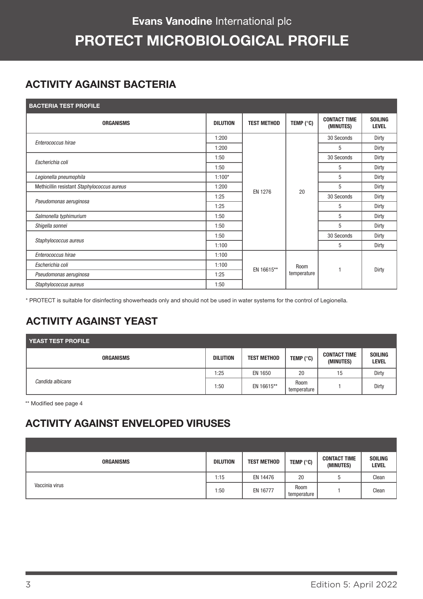## Evans Vanodine International plc PROTECT MICROBIOLOGICAL PROFILE

#### ACTIVITY AGAINST BACTERIA

| <b>BACTERIA TEST PROFILE</b> |  |  |
|------------------------------|--|--|
|                              |  |  |

| <b>ORGANISMS</b>                            | <b>DILUTION</b> | <b>TEST METHOD</b> | TEMP $(^{\circ}C)$  | <b>CONTACT TIME</b><br>(MINUTES) | <b>SOILING</b><br><b>LEVEL</b> |
|---------------------------------------------|-----------------|--------------------|---------------------|----------------------------------|--------------------------------|
| Enterococcus hirae                          | 1:200           |                    |                     | 30 Seconds                       | Dirty                          |
|                                             | 1:200           |                    |                     | 5                                | Dirty                          |
| Escherichia coli                            | 1:50            |                    |                     | 30 Seconds                       | Dirty                          |
|                                             | 1:50            |                    |                     | 5                                | Dirty                          |
| Legionella pneumophila                      | $1:100*$        | 20<br>EN 1276      |                     | 5                                | Dirty                          |
| Methicillin resistant Staphylococcus aureus | 1:200           |                    | 5                   | Dirty                            |                                |
|                                             | 1:25            |                    |                     | 30 Seconds                       | Dirty                          |
| Pseudomonas aeruginosa                      | 1:25            |                    |                     | 5                                | Dirty                          |
| Salmonella typhimurium                      | 1:50            |                    |                     | 5                                | Dirty                          |
| Shigella sonnei                             | 1:50            |                    |                     | 5                                | Dirty                          |
|                                             | 1:50            |                    |                     | 30 Seconds                       | Dirty                          |
| Staphylococcus aureus                       | 1:100           |                    |                     | 5                                | Dirty                          |
| Enterococcus hirae                          | 1:100           |                    | Room<br>temperature |                                  | Dirty                          |
| Escherichia coli                            | 1:100           |                    |                     |                                  |                                |
| Pseudomonas aeruginosa                      | 1:25            | EN 16615**         |                     |                                  |                                |
| Staphylococcus aureus                       | 1:50            |                    |                     |                                  |                                |

\* PROTECT is suitable for disinfecting showerheads only and should not be used in water systems for the control of Legionella.

### ACTIVITY AGAINST YEAST

| <b>YEAST TEST PROFILE</b> |                  |                 |                    |                      |                                  |                                |
|---------------------------|------------------|-----------------|--------------------|----------------------|----------------------------------|--------------------------------|
|                           | <b>ORGANISMS</b> | <b>DILUTION</b> | <b>TEST METHOD</b> | TEMP ( $^{\circ}$ C) | <b>CONTACT TIME</b><br>(MINUTES) | <b>SOILING</b><br><b>LEVEL</b> |
|                           |                  | 1:25            | EN 1650            | 20                   | 15                               | Dirty                          |
| Candida albicans          |                  | 1:50            | EN 16615**         | Room<br>temperature  |                                  | Dirty                          |

\*\* Modified see page 4

#### ACTIVITY AGAINST ENVELOPED VIRUSES

| <b>ORGANISMS</b> | <b>DILUTION</b> | <b>TEST METHOD</b> | TEMP $(^{\circ}C)$         | <b>CONTACT TIME</b><br>(MINUTES) | <b>SOILING</b><br><b>LEVEL</b> |
|------------------|-----------------|--------------------|----------------------------|----------------------------------|--------------------------------|
|                  | 1:15            | EN 14476           | 20                         | h                                | Clean                          |
| Vaccinia virus   | 1:50            | EN 16777           | <b>Room</b><br>temperature |                                  | Clean                          |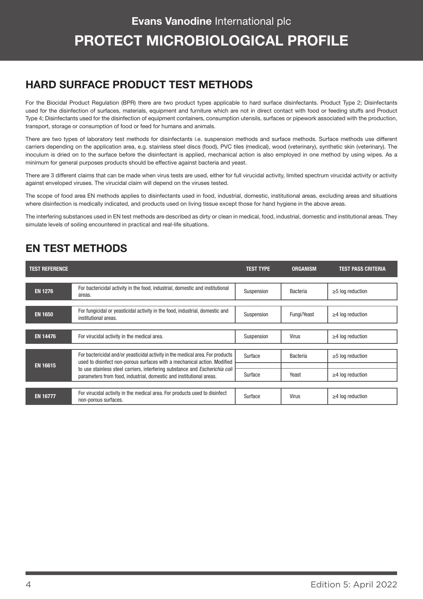#### HARD SURFACE PRODUCT TEST METHODS

For the Biocidal Product Regulation (BPR) there are two product types applicable to hard surface disinfectants. Product Type 2; Disinfectants used for the disinfection of surfaces, materials, equipment and furniture which are not in direct contact with food or feeding stuffs and Product Type 4; Disinfectants used for the disinfection of equipment containers, consumption utensils, surfaces or pipework associated with the production, transport, storage or consumption of food or feed for humans and animals.

There are two types of laboratory test methods for disinfectants i.e. suspension methods and surface methods. Surface methods use different carriers depending on the application area, e.g. stainless steel discs (food), PVC tiles (medical), wood (veterinary), synthetic skin (veterinary). The inoculum is dried on to the surface before the disinfectant is applied, mechanical action is also employed in one method by using wipes. As a minimum for general purposes products should be effective against bacteria and yeast.

There are 3 different claims that can be made when virus tests are used, either for full virucidal activity, limited spectrum virucidal activity or activity against enveloped viruses. The virucidal claim will depend on the viruses tested.

The scope of food area EN methods applies to disinfectants used in food, industrial, domestic, institutional areas, excluding areas and situations where disinfection is medically indicated, and products used on living tissue except those for hand hygiene in the above areas.

The interfering substances used in EN test methods are described as dirty or clean in medical, food, industrial, domestic and institutional areas. They simulate levels of soiling encountered in practical and real-life situations.

#### EN TEST METHODS

| <b>TEST REFERENCE</b> |                                                                                                                                                            | <b>TEST TYPE</b> | <b>ORGANISM</b> | <b>TEST PASS CRITERIA</b> |
|-----------------------|------------------------------------------------------------------------------------------------------------------------------------------------------------|------------------|-----------------|---------------------------|
| <b>EN 1276</b>        | For bactericidal activity in the food, industrial, domestic and institutional<br>areas.                                                                    | Suspension       | <b>Bacteria</b> | $\geq$ 5 log reduction    |
| <b>EN 1650</b>        | For fungicidal or yeasticidal activity in the food, industrial, domestic and<br>institutional areas.                                                       | Suspension       | Fungi/Yeast     | $\geq$ 4 log reduction    |
| <b>EN 14476</b>       | For virucidal activity in the medical area.                                                                                                                | Suspension       | <b>Virus</b>    | $\geq$ 4 log reduction    |
|                       | For bactericidal and/or yeasticidal activity in the medical area. For products<br>used to disinfect non-porous surfaces with a mechanical action. Modified |                  | Bacteria        | $\geq$ 5 log reduction    |
| <b>EN 16615</b>       | to use stainless steel carriers, interfering substance and Escherichia coli<br>parameters from food, industrial, domestic and institutional areas.         | Surface          | Yeast           | $\geq$ 4 log reduction    |
| <b>EN 16777</b>       | For virucidal activity in the medical area. For products used to disinfect<br>non-porous surfaces.                                                         | Surface          | <b>Virus</b>    | $\geq$ 4 log reduction    |